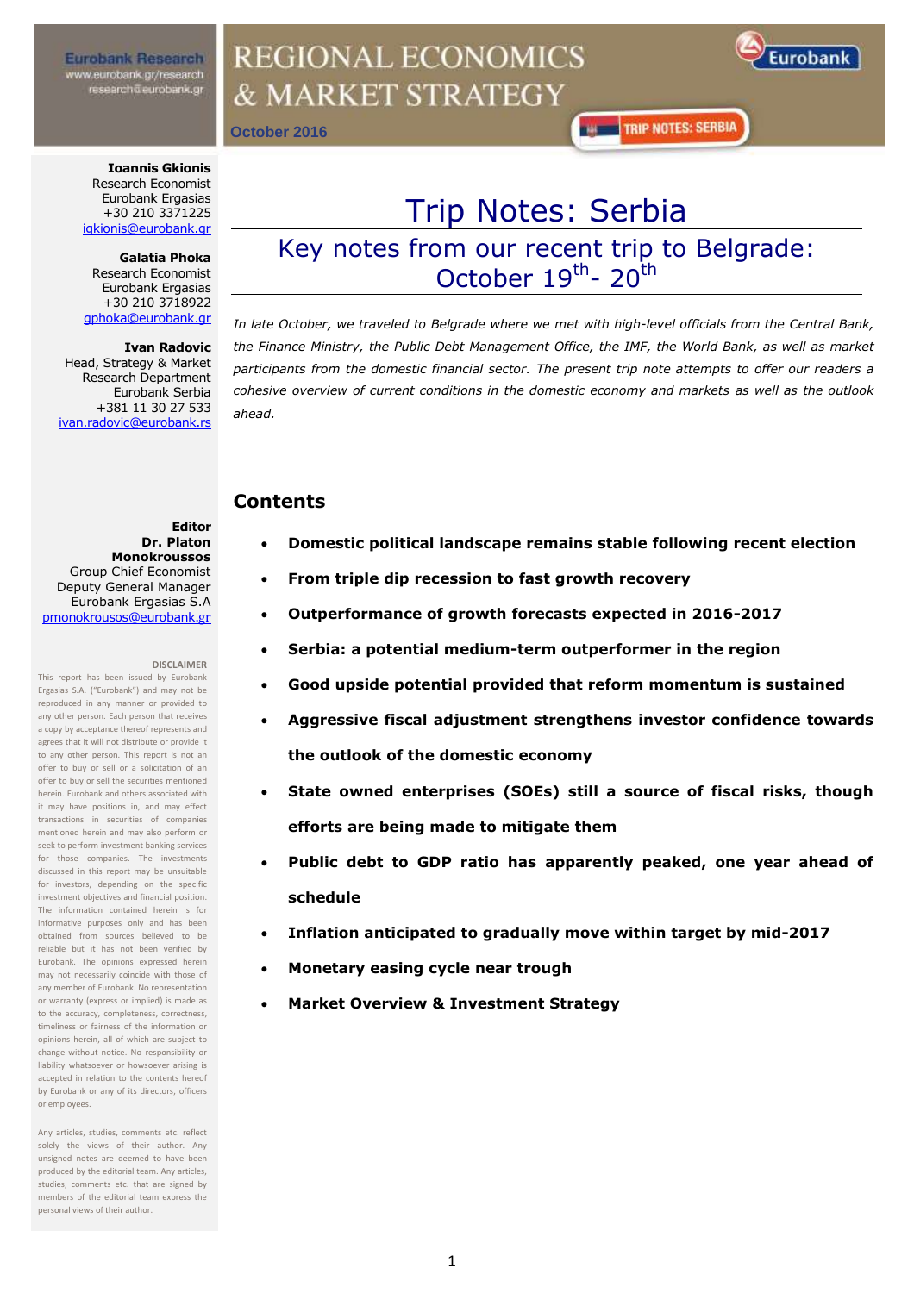**Eurobank Research** www.eurobank.gr/research research@eurobank.gr

## **REGIONAL ECONOMICS** & MARKET STRATEGY



**October 2016**

**TRIP NOTES: SERBIA** 

**Ioannis Gkionis** Research Economist Eurobank Ergasias +30 210 3371225 [igkionis@eurobank.gr](mailto:igkionis@eurobank.gr)

**Galatia Phoka**  Research Economist Eurobank Ergasias +30 210 3718922 [gphoka@eurobank.gr](mailto:gphoka@eurobank.gr)

**Ivan Radovic**  Head, Strategy & Market Research Department Eurobank Serbia +381 11 30 27 533 [ivan.radovic@eurobank.rs](mailto:ivan.radovic@eurobank.rs)

Trip Notes: Serbia

Key notes from our recent trip to Belgrade: October 19<sup>th</sup>- 20<sup>th</sup>

*In late October, we traveled to Belgrade where we met with high-level officials from the Central Bank, the Finance Ministry, the Public Debt Management Office, the IMF, the World Bank, as well as market participants from the domestic financial sector. The present trip note attempts to offer our readers a cohesive overview of current conditions in the domestic economy and markets as well as the outlook ahead.*

### **Contents**

- **Domestic political landscape remains stable following recent election**
- **From triple dip recession to fast growth recovery**
- **Outperformance of growth forecasts expected in 2016-2017**
- **Serbia: a potential medium-term outperformer in the region**
- **Good upside potential provided that reform momentum is sustained**
- **Aggressive fiscal adjustment strengthens investor confidence towards the outlook of the domestic economy**
- **State owned enterprises (SOEs) still a source of fiscal risks, though efforts are being made to mitigate them**
- **Public debt to GDP ratio has apparently peaked, one year ahead of schedule**
- **Inflation anticipated to gradually move within target by mid-2017**
- **Monetary easing cycle near trough**
- **Market Overview & Investment Strategy**

**Editor Dr. Platon Monokroussos**  Group Chief Economist Deputy General Manager Eurobank Ergasias S.A pmonokrousos@eurobank.gr

#### **DISCLAIMER**

This report has been issued by Eurobank Ergasias S.A. ("Eurobank") and may not be reproduced in any manner or provided to any other person. Each person that receives a copy by acceptance thereof represents and agrees that it will not distribute or provide it to any other person. This report is not an offer to buy or sell or a solicitation of an offer to buy or sell the securities mentioned herein. Eurobank and others associated with it may have positions in, and may effect transactions in securities of companies mentioned herein and may also perform or seek to perform investment banking services for those companies. The investments discussed in this report may be unsuitable for investors, depending on the specific investment objectives and financial position. The information contained herein is for informative purposes only and has been obtained from sources believed to be reliable but it has not been verified by Eurobank. The opinions expressed herein may not necessarily coincide with those of any member of Eurobank. No representation or warranty (express or implied) is made as to the accuracy, completeness, correctness, timeliness or fairness of the information or opinions herein, all of which are subject to change without notice. No responsibility or liability whatsoever or howsoever arising is accepted in relation to the contents hereof by Eurobank or any of its directors, officers or employees.

Any articles, studies, comments etc. reflect solely the views of their author. Any unsigned notes are deemed to have been produced by the editorial team. Any articles, studies, comments etc. that are signed by members of the editorial team express the personal views of their author.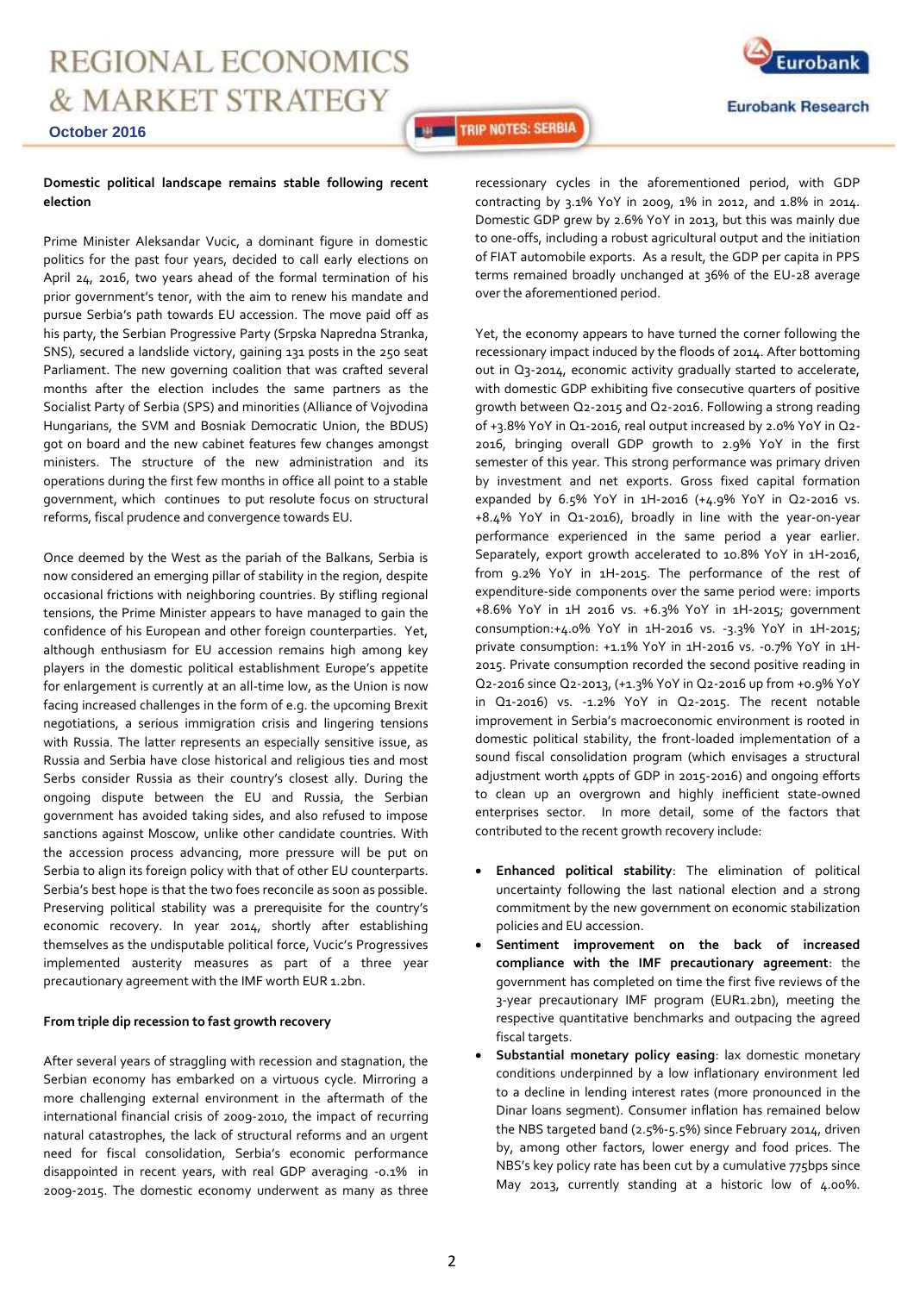**Eurobank Eurobank Research** 

#### **October 2016**

#### **Domestic political landscape remains stable following recent election**

Prime Minister Aleksandar Vucic, a dominant figure in domestic politics for the past four years, decided to call early elections on April 24, 2016, two years ahead of the formal termination of his prior government's tenor, with the aim to renew his mandate and pursue Serbia's path towards EU accession. The move paid off as his party, the Serbian Progressive Party (Srpska Napredna Stranka, SNS), secured a landslide victory, gaining 131 posts in the 250 seat Parliament. The new governing coalition that was crafted several months after the election includes the same partners as the Socialist Party of Serbia (SPS) and minorities (Alliance of Vojvodina Hungarians, the SVM and Bosniak Democratic Union, the BDUS) got on board and the new cabinet features few changes amongst ministers. The structure of the new administration and its operations during the first few months in office all point to a stable government, which continues to put resolute focus on structural reforms, fiscal prudence and convergence towards EU.

Once deemed by the West as the pariah of the Balkans, Serbia is now considered an emerging pillar of stability in the region, despite occasional frictions with neighboring countries. By stifling regional tensions, the Prime Minister appears to have managed to gain the confidence of his European and other foreign counterparties. Yet, although enthusiasm for EU accession remains high among key players in the domestic political establishment Europe's appetite for enlargement is currently at an all-time low, as the Union is now facing increased challenges in the form of e.g. the upcoming Brexit negotiations, a serious immigration crisis and lingering tensions with Russia. The latter represents an especially sensitive issue, as Russia and Serbia have close historical and religious ties and most Serbs consider Russia as their country's closest ally. During the ongoing dispute between the EU and Russia, the Serbian government has avoided taking sides, and also refused to impose sanctions against Moscow, unlike other candidate countries. With the accession process advancing, more pressure will be put on Serbia to align its foreign policy with that of other EU counterparts. Serbia's best hope is that the two foes reconcile as soon as possible. Preserving political stability was a prerequisite for the country's economic recovery. In year 2014, shortly after establishing themselves as the undisputable political force, Vucic's Progressives implemented austerity measures as part of a three year precautionary agreement with the IMF worth EUR 1.2bn.

#### **From triple dip recession to fast growth recovery**

After several years of straggling with recession and stagnation, the Serbian economy has embarked on a virtuous cycle. Mirroring a more challenging external environment in the aftermath of the international financial crisis of 2009-2010, the impact of recurring natural catastrophes, the lack of structural reforms and an urgent need for fiscal consolidation, Serbia's economic performance disappointed in recent years, with real GDP averaging -0.1% in 2009-2015. The domestic economy underwent as many as three

recessionary cycles in the aforementioned period, with GDP contracting by 3.1% YoY in 2009, 1% in 2012, and 1.8% in 2014. Domestic GDP grew by 2.6% YoY in 2013, but this was mainly due to one-offs, including a robust agricultural output and the initiation of FIAT automobile exports. As a result, the GDP per capita in PPS terms remained broadly unchanged at 36% of the EU-28 average over the aforementioned period.

**THE TRIP NOTES: SERBIA** 

Yet, the economy appears to have turned the corner following the recessionary impact induced by the floods of 2014. After bottoming out in Q3-2014, economic activity gradually started to accelerate, with domestic GDP exhibiting five consecutive quarters of positive growth between Q2-2015 and Q2-2016. Following a strong reading of +3.8% YoY in Q1-2016, real output increased by 2.0% YoY in Q2- 2016, bringing overall GDP growth to 2.9% YoY in the first semester of this year. This strong performance was primary driven by investment and net exports. Gross fixed capital formation expanded by 6.5% YoY in 1H-2016 (+4.9% YoY in Q2-2016 vs. +8.4% YoY in Q1-2016), broadly in line with the year-on-year performance experienced in the same period a year earlier. Separately, export growth accelerated to 10.8% YoY in 1H-2016, from 9.2% YoY in 1H-2015. The performance of the rest of expenditure-side components over the same period were: imports +8.6% YoY in 1H 2016 vs. +6.3% YoY in 1H-2015; government consumption:+4.0% YoY in 1H-2016 vs. -3.3% YoY in 1H-2015; private consumption: +1.1% YoY in 1H-2016 vs. -0.7% YoY in 1H-2015. Private consumption recorded the second positive reading in Q2-2016 since Q2-2013, (+1.3% YoY in Q2-2016 up from +0.9% YoY in Q1-2016) vs. -1.2% YoY in Q2-2015. The recent notable improvement in Serbia's macroeconomic environment is rooted in domestic political stability, the front-loaded implementation of a sound fiscal consolidation program (which envisages a structural adjustment worth 4ppts of GDP in 2015-2016) and ongoing efforts to clean up an overgrown and highly inefficient state-owned enterprises sector. In more detail, some of the factors that contributed to the recent growth recovery include:

- **Enhanced political stability**: The elimination of political uncertainty following the last national election and a strong commitment by the new government on economic stabilization policies and EU accession.
- **Sentiment improvement on the back of increased compliance with the IMF precautionary agreement**: the government has completed on time the first five reviews of the 3-year precautionary IMF program (EUR1.2bn), meeting the respective quantitative benchmarks and outpacing the agreed fiscal targets.
- **Substantial monetary policy easing**: lax domestic monetary conditions underpinned by a low inflationary environment led to a decline in lending interest rates (more pronounced in the Dinar loans segment). Consumer inflation has remained below the NBS targeted band (2.5%-5.5%) since February 2014, driven by, among other factors, lower energy and food prices. The NBS's key policy rate has been cut by a cumulative 775bps since May 2013, currently standing at a historic low of 4.00%.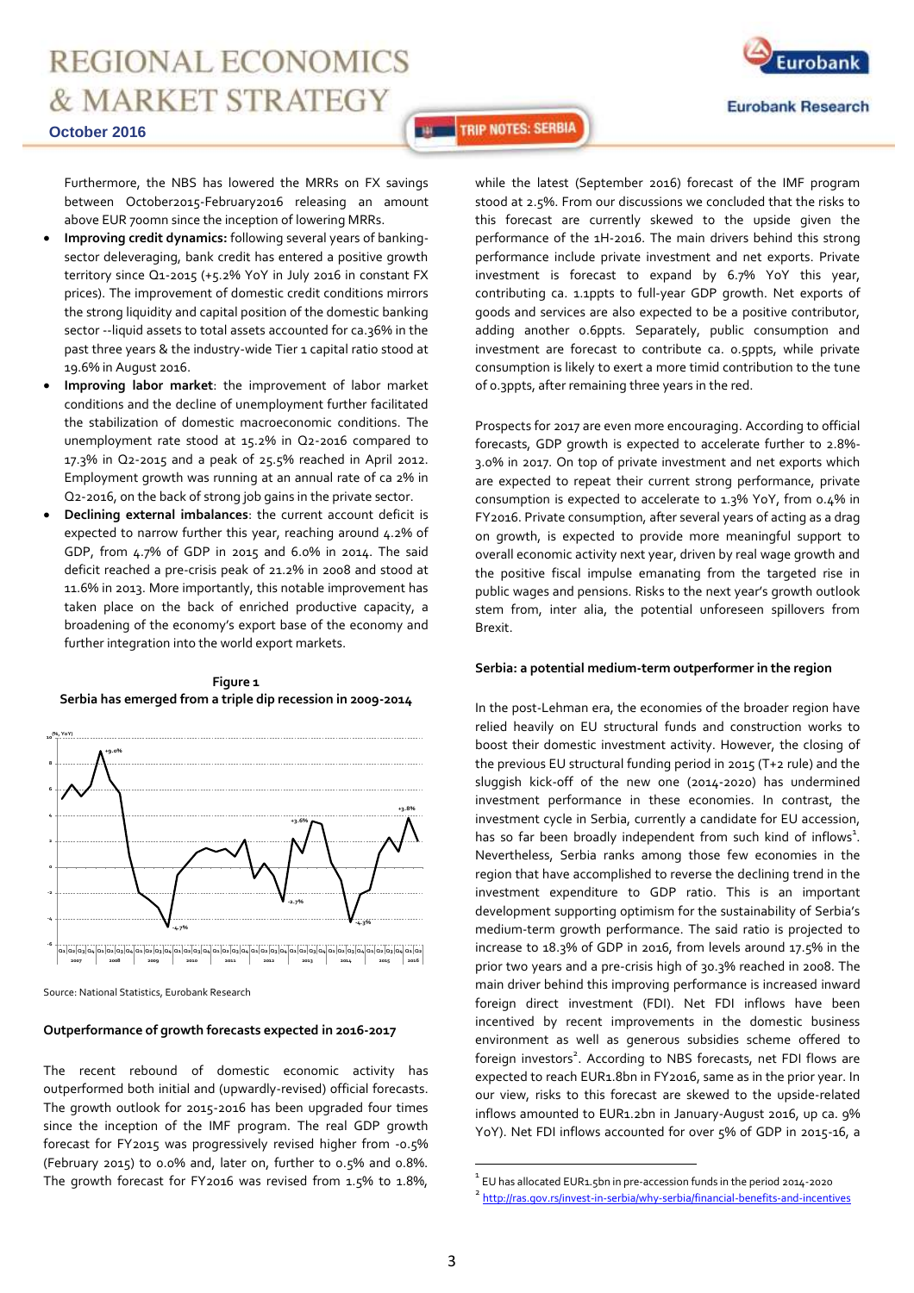

**Eurobank Research** 

#### **October 2016**

Furthermore, the NBS has lowered the MRRs on FX savings between October2015-February2016 releasing an amount above EUR 700mn since the inception of lowering MRRs.

- **Improving credit dynamics:** following several years of bankingsector deleveraging, bank credit has entered a positive growth territory since Q1-2015 (+5.2% YoY in July 2016 in constant FX prices). The improvement of domestic credit conditions mirrors the strong liquidity and capital position of the domestic banking sector --liquid assets to total assets accounted for ca.36% in the past three years & the industry-wide Tier 1 capital ratio stood at 19.6% in August 2016.
- **Improving labor market**: the improvement of labor market conditions and the decline of unemployment further facilitated the stabilization of domestic macroeconomic conditions. The unemployment rate stood at 15.2% in Q2-2016 compared to 17.3% in Q2-2015 and a peak of 25.5% reached in April 2012. Employment growth was running at an annual rate of ca 2% in Q2-2016, on the back of strong job gains in the private sector.
- **Declining external imbalances**: the current account deficit is expected to narrow further this year, reaching around 4.2% of GDP, from 4.7% of GDP in 2015 and 6.0% in 2014. The said deficit reached a pre-crisis peak of 21.2% in 2008 and stood at 11.6% in 2013. More importantly, this notable improvement has taken place on the back of enriched productive capacity, a broadening of the economy's export base of the economy and further integration into the world export markets.

### **Figure 1 Serbia has emerged from a triple dip recession in 2009-2014**



Source: National Statistics, Eurobank Research

#### **Outperformance of growth forecasts expected in 2016-2017**

The recent rebound of domestic economic activity has outperformed both initial and (upwardly-revised) official forecasts. The growth outlook for 2015-2016 has been upgraded four times since the inception of the IMF program. The real GDP growth forecast for FY2015 was progressively revised higher from -0.5% (February 2015) to 0.0% and, later on, further to 0.5% and 0.8%. The growth forecast for FY2016 was revised from 1.5% to 1.8%, while the latest (September 2016) forecast of the IMF program stood at 2.5%. From our discussions we concluded that the risks to this forecast are currently skewed to the upside given the performance of the 1H-2016. The main drivers behind this strong performance include private investment and net exports. Private investment is forecast to expand by 6.7% YoY this year, contributing ca. 1.1ppts to full-year GDP growth. Net exports of goods and services are also expected to be a positive contributor, adding another 0.6ppts. Separately, public consumption and investment are forecast to contribute ca. 0.5ppts, while private consumption is likely to exert a more timid contribution to the tune of 0.3ppts, after remaining three years in the red.

**THE TRIP NOTES: SERBIA** 

Prospects for 2017 are even more encouraging. According to official forecasts, GDP growth is expected to accelerate further to 2.8%- 3.0% in 2017. On top of private investment and net exports which are expected to repeat their current strong performance, private consumption is expected to accelerate to 1.3% YoY, from 0.4% in FY2016. Private consumption, after several years of acting as a drag on growth, is expected to provide more meaningful support to overall economic activity next year, driven by real wage growth and the positive fiscal impulse emanating from the targeted rise in public wages and pensions. Risks to the next year's growth outlook stem from, inter alia, the potential unforeseen spillovers from Brexit.

#### **Serbia: a potential medium-term outperformer in the region**

In the post-Lehman era, the economies of the broader region have relied heavily on EU structural funds and construction works to boost their domestic investment activity. However, the closing of the previous EU structural funding period in 2015 (T+2 rule) and the sluggish kick-off of the new one (2014-2020) has undermined investment performance in these economies. In contrast, the investment cycle in Serbia, currently a candidate for EU accession, has so far been broadly independent from such kind of inflows $^1$ . Nevertheless, Serbia ranks among those few economies in the region that have accomplished to reverse the declining trend in the investment expenditure to GDP ratio. This is an important development supporting optimism for the sustainability of Serbia's medium-term growth performance. The said ratio is projected to increase to 18.3% of GDP in 2016, from levels around 17.5% in the prior two years and a pre-crisis high of 30.3% reached in 2008. The main driver behind this improving performance is increased inward foreign direct investment (FDI). Net FDI inflows have been incentived by recent improvements in the domestic business environment as well as generous subsidies scheme offered to foreign investors<sup>2</sup>. According to NBS forecasts, net FDI flows are expected to reach EUR1.8bn in FY2016, same as in the prior year. In our view, risks to this forecast are skewed to the upside-related inflows amounted to EUR1.2bn in January-August 2016, up ca. 9% YoY). Net FDI inflows accounted for over 5% of GDP in 2015-16, a

 $\overline{a}$ 

 $^1$  EU has allocated EUR1.5bn in pre-accession funds in the period 2014-2020

<sup>&</sup>lt;sup>2</sup> <http://ras.gov.rs/invest-in-serbia/why-serbia/financial-benefits-and-incentives>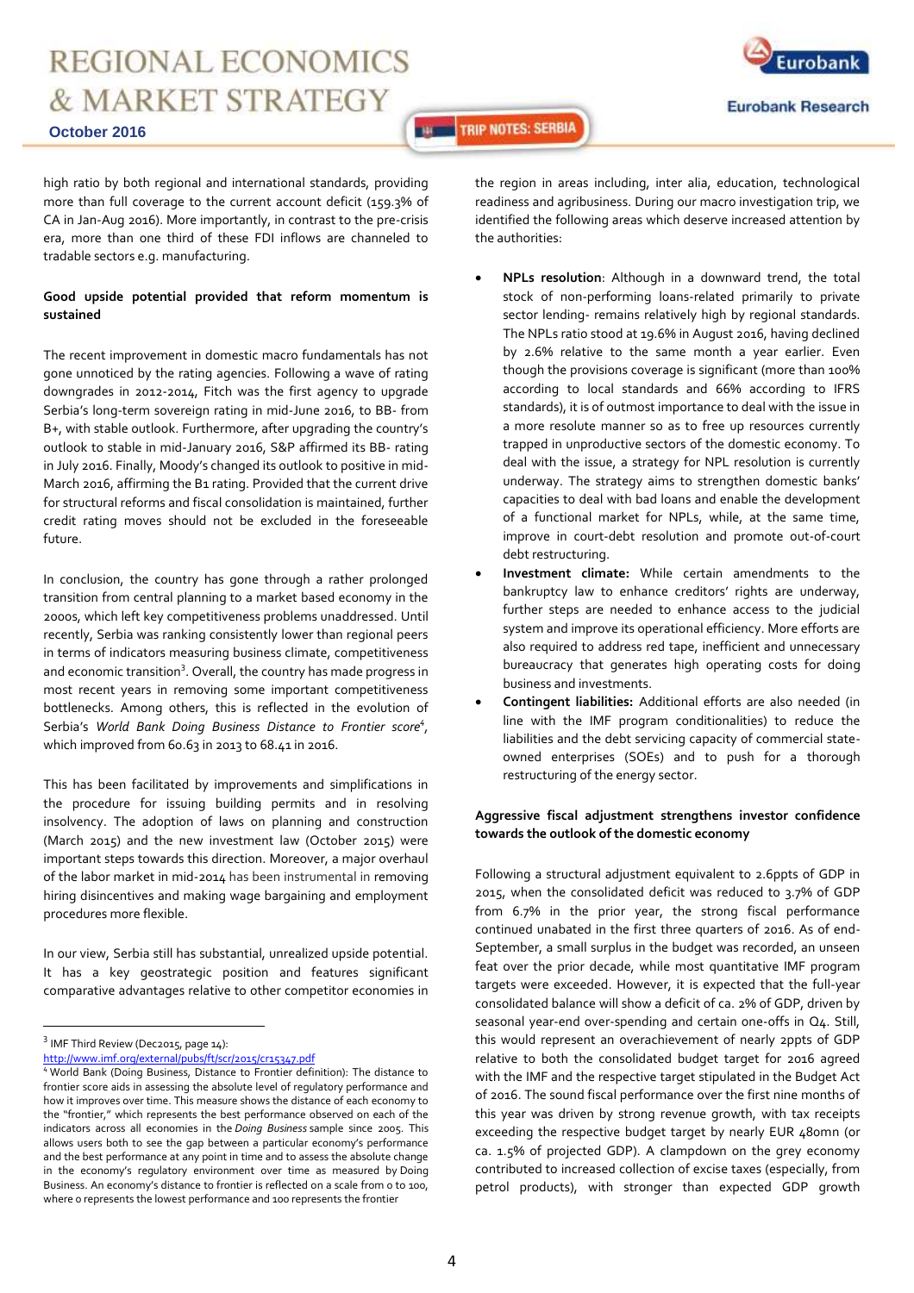

**October 2016**

high ratio by both regional and international standards, providing more than full coverage to the current account deficit (159.3% of CA in Jan-Aug 2016). More importantly, in contrast to the pre-crisis era, more than one third of these FDI inflows are channeled to tradable sectors e.g. manufacturing.

#### **Good upside potential provided that reform momentum is sustained**

The recent improvement in domestic macro fundamentals has not gone unnoticed by the rating agencies. Following a wave of rating downgrades in 2012-2014, Fitch was the first agency to upgrade Serbia's long-term sovereign rating in mid-June 2016, to BB- from B+, with stable outlook. Furthermore, after upgrading the country's outlook to stable in mid-January 2016, S&P affirmed its BB- rating in July 2016. Finally, Moody's changed its outlook to positive in mid-March 2016, affirming the B1 rating. Provided that the current drive for structural reforms and fiscal consolidation is maintained, further credit rating moves should not be excluded in the foreseeable future.

In conclusion, the country has gone through a rather prolonged transition from central planning to a market based economy in the 2000s, which left key competitiveness problems unaddressed. Until recently, Serbia was ranking consistently lower than regional peers in terms of indicators measuring business climate, competitiveness and economic transition<sup>3</sup>. Overall, the country has made progress in most recent years in removing some important competitiveness bottlenecks. Among others, this is reflected in the evolution of Serbia's *World Bank Doing Business Distance to Frontier score<sup>4</sup> ,*  which improved from 60.63 in 2013 to 68.41 in 2016.

This has been facilitated by improvements and simplifications in the procedure for issuing building permits and in resolving insolvency. The adoption of laws on planning and construction (March 2015) and the new investment law (October 2015) were important steps towards this direction. Moreover, a major overhaul of the labor market in mid-2014 has been instrumental in removing hiring disincentives and making wage bargaining and employment procedures more flexible.

In our view, Serbia still has substantial, unrealized upside potential. It has a key geostrategic position and features significant comparative advantages relative to other competitor economies in

 $\overline{a}$ 

the region in areas including, inter alia, education, technological readiness and agribusiness. During our macro investigation trip, we identified the following areas which deserve increased attention by the authorities:

**THE TRIP NOTES: SERBIA** 

- **NPLs resolution**: Although in a downward trend, the total stock of non-performing loans-related primarily to private sector lending- remains relatively high by regional standards. The NPLs ratio stood at 19.6% in August 2016, having declined by 2.6% relative to the same month a year earlier. Even though the provisions coverage is significant (more than 100% according to local standards and 66% according to IFRS standards), it is of outmost importance to deal with the issue in a more resolute manner so as to free up resources currently trapped in unproductive sectors of the domestic economy. To deal with the issue, a strategy for NPL resolution is currently underway. The strategy aims to strengthen domestic banks' capacities to deal with bad loans and enable the development of a functional market for NPLs, while, at the same time, improve in court-debt resolution and promote out-of-court debt restructuring.
- **Investment climate:** While certain amendments to the bankruptcy law to enhance creditors' rights are underway, further steps are needed to enhance access to the judicial system and improve its operational efficiency. More efforts are also required to address red tape, inefficient and unnecessary bureaucracy that generates high operating costs for doing business and investments.
- **Contingent liabilities:** Additional efforts are also needed (in line with the IMF program conditionalities) to reduce the liabilities and the debt servicing capacity of commercial stateowned enterprises (SOEs) and to push for a thorough restructuring of the energy sector.

### **Aggressive fiscal adjustment strengthens investor confidence towards the outlook of the domestic economy**

Following a structural adjustment equivalent to 2.6ppts of GDP in 2015, when the consolidated deficit was reduced to 3.7% of GDP from 6.7% in the prior year, the strong fiscal performance continued unabated in the first three quarters of 2016. As of end-September, a small surplus in the budget was recorded, an unseen feat over the prior decade, while most quantitative IMF program targets were exceeded. However, it is expected that the full-year consolidated balance will show a deficit of ca. 2% of GDP, driven by seasonal year-end over-spending and certain one-offs in Q4. Still, this would represent an overachievement of nearly 2ppts of GDP relative to both the consolidated budget target for 2016 agreed with the IMF and the respective target stipulated in the Budget Act of 2016. The sound fiscal performance over the first nine months of this year was driven by strong revenue growth, with tax receipts exceeding the respective budget target by nearly EUR 480mn (or ca. 1.5% of projected GDP). A clampdown on the grey economy contributed to increased collection of excise taxes (especially, from petrol products), with stronger than expected GDP growth

 $^3$  IMF Third Review (Dec2015, page 14):

<http://www.imf.org/external/pubs/ft/scr/2015/cr15347.pdf>

<sup>4</sup> World Bank (Doing Business, Distance to Frontier definition): The distance to frontier score aids in assessing the absolute level of regulatory performance and how it improves over time. This measure shows the distance of each economy to the "frontier," which represents the best performance observed on each of the indicators across all economies in the *Doing Business* sample since 2005. This allows users both to see the gap between a particular economy's performance and the best performance at any point in time and to assess the absolute change in the economy's regulatory environment over time as measured by Doing Business. An economy's distance to frontier is reflected on a scale from 0 to 100, where 0 represents the lowest performance and 100 represents the frontier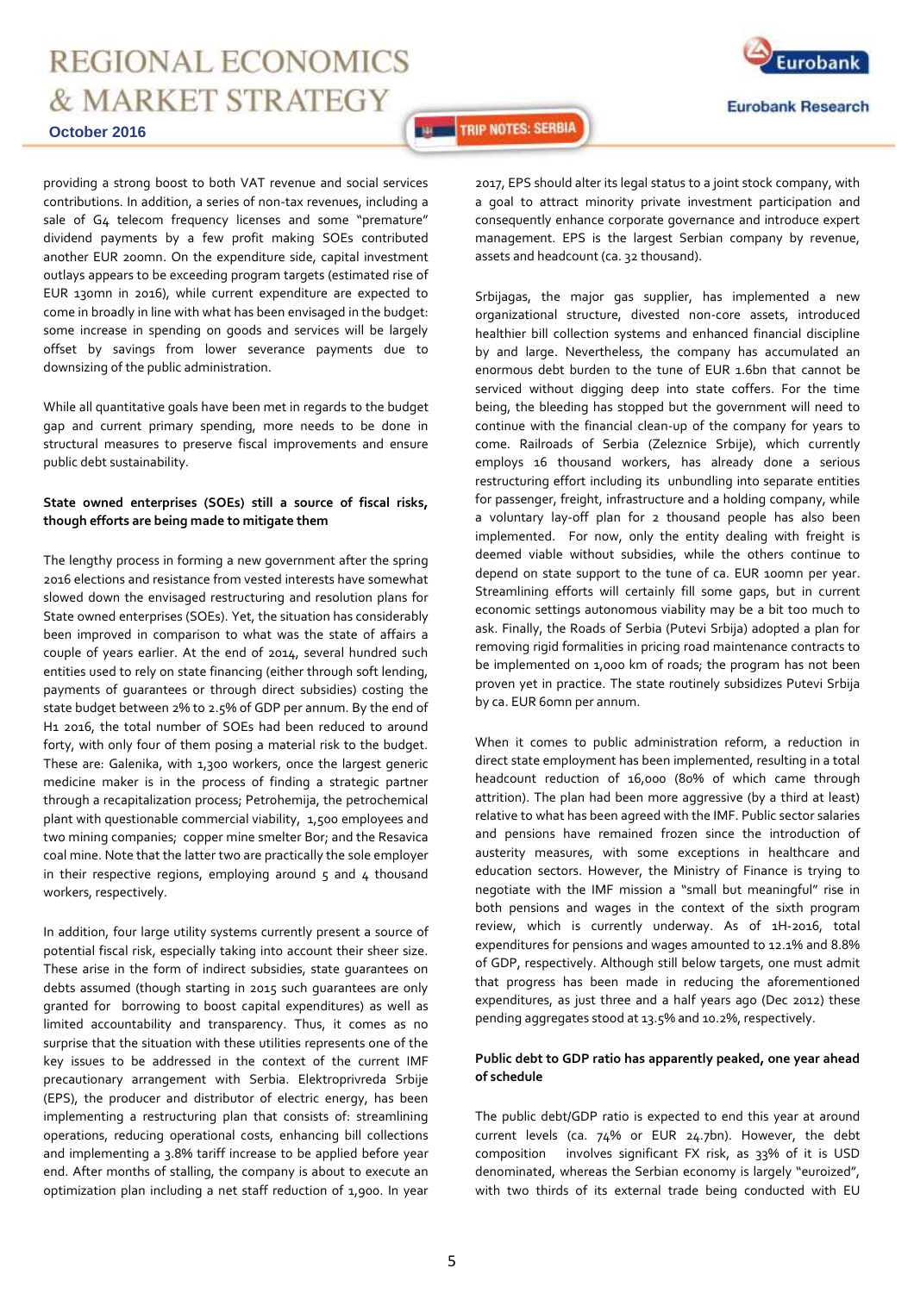#### **October 2016**

Eurobank **Eurobank Research** 

**THE TRIP NOTES: SERBIA** 

providing a strong boost to both VAT revenue and social services contributions. In addition, a series of non-tax revenues, including a sale of G4 telecom frequency licenses and some "premature" dividend payments by a few profit making SOEs contributed another EUR 200mn. On the expenditure side, capital investment outlays appears to be exceeding program targets (estimated rise of EUR 130mn in 2016), while current expenditure are expected to come in broadly in line with what has been envisaged in the budget: some increase in spending on goods and services will be largely offset by savings from lower severance payments due to downsizing of the public administration.

While all quantitative goals have been met in regards to the budget gap and current primary spending, more needs to be done in structural measures to preserve fiscal improvements and ensure public debt sustainability.

### **State owned enterprises (SOEs) still a source of fiscal risks, though efforts are being made to mitigate them**

The lengthy process in forming a new government after the spring 2016 elections and resistance from vested interests have somewhat slowed down the envisaged restructuring and resolution plans for State owned enterprises (SOEs). Yet, the situation has considerably been improved in comparison to what was the state of affairs a couple of years earlier. At the end of 2014, several hundred such entities used to rely on state financing (either through soft lending, payments of guarantees or through direct subsidies) costing the state budget between 2% to 2.5% of GDP per annum. By the end of H1 2016, the total number of SOEs had been reduced to around forty, with only four of them posing a material risk to the budget. These are: Galenika, with 1,300 workers, once the largest generic medicine maker is in the process of finding a strategic partner through a recapitalization process; Petrohemija, the petrochemical plant with questionable commercial viability, 1,500 employees and two mining companies; copper mine smelter Bor; and the Resavica coal mine. Note that the latter two are practically the sole employer in their respective regions, employing around  $5$  and  $4$  thousand workers, respectively.

In addition, four large utility systems currently present a source of potential fiscal risk, especially taking into account their sheer size. These arise in the form of indirect subsidies, state guarantees on debts assumed (though starting in 2015 such guarantees are only granted for borrowing to boost capital expenditures) as well as limited accountability and transparency. Thus, it comes as no surprise that the situation with these utilities represents one of the key issues to be addressed in the context of the current IMF precautionary arrangement with Serbia. Elektroprivreda Srbije (EPS), the producer and distributor of electric energy, has been implementing a restructuring plan that consists of: streamlining operations, reducing operational costs, enhancing bill collections and implementing a 3.8% tariff increase to be applied before year end. After months of stalling, the company is about to execute an optimization plan including a net staff reduction of 1,900. In year

2017, EPS should alter its legal status to a joint stock company, with a goal to attract minority private investment participation and consequently enhance corporate governance and introduce expert management. EPS is the largest Serbian company by revenue, assets and headcount (ca. 32 thousand).

Srbijagas, the major gas supplier, has implemented a new organizational structure, divested non-core assets, introduced healthier bill collection systems and enhanced financial discipline by and large. Nevertheless, the company has accumulated an enormous debt burden to the tune of EUR 1.6bn that cannot be serviced without digging deep into state coffers. For the time being, the bleeding has stopped but the government will need to continue with the financial clean-up of the company for years to come. Railroads of Serbia (Zeleznice Srbije), which currently employs 16 thousand workers, has already done a serious restructuring effort including its unbundling into separate entities for passenger, freight, infrastructure and a holding company, while a voluntary lay-off plan for 2 thousand people has also been implemented. For now, only the entity dealing with freight is deemed viable without subsidies, while the others continue to depend on state support to the tune of ca. EUR 100mn per year. Streamlining efforts will certainly fill some gaps, but in current economic settings autonomous viability may be a bit too much to ask. Finally, the Roads of Serbia (Putevi Srbija) adopted a plan for removing rigid formalities in pricing road maintenance contracts to be implemented on 1,000 km of roads; the program has not been proven yet in practice. The state routinely subsidizes Putevi Srbija by ca. EUR 60mn per annum.

When it comes to public administration reform, a reduction in direct state employment has been implemented, resulting in a total headcount reduction of 16,000 (80% of which came through attrition). The plan had been more aggressive (by a third at least) relative to what has been agreed with the IMF. Public sector salaries and pensions have remained frozen since the introduction of austerity measures, with some exceptions in healthcare and education sectors. However, the Ministry of Finance is trying to negotiate with the IMF mission a "small but meaningful" rise in both pensions and wages in the context of the sixth program review, which is currently underway. As of 1H-2016, total expenditures for pensions and wages amounted to 12.1% and 8.8% of GDP, respectively. Although still below targets, one must admit that progress has been made in reducing the aforementioned expenditures, as just three and a half years ago (Dec 2012) these pending aggregates stood at 13.5% and 10.2%, respectively.

#### **Public debt to GDP ratio has apparently peaked, one year ahead of schedule**

The public debt/GDP ratio is expected to end this year at around current levels (ca. 74% or EUR 24.7bn). However, the debt composition involves significant FX risk, as 33% of it is USD denominated, whereas the Serbian economy is largely "euroized", with two thirds of its external trade being conducted with EU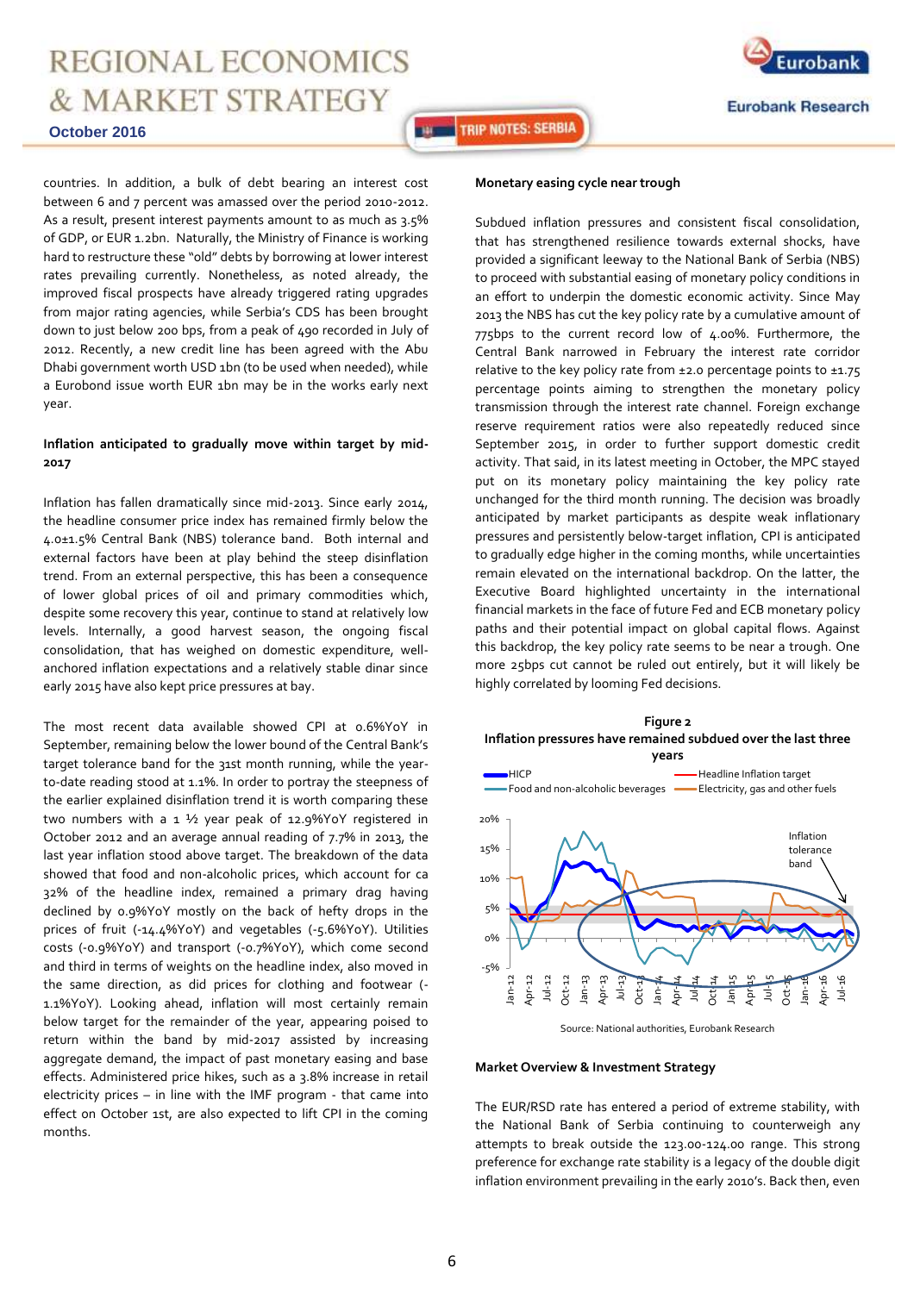

**October 2016**

**THE TRIP NOTES: SERBIA** 

countries. In addition, a bulk of debt bearing an interest cost between 6 and 7 percent was amassed over the period 2010-2012. As a result, present interest payments amount to as much as 3.5% of GDP, or EUR 1.2bn. Naturally, the Ministry of Finance is working hard to restructure these "old" debts by borrowing at lower interest rates prevailing currently. Nonetheless, as noted already, the improved fiscal prospects have already triggered rating upgrades from major rating agencies, while Serbia's CDS has been brought down to just below 200 bps, from a peak of 490 recorded in July of 2012. Recently, a new credit line has been agreed with the Abu Dhabi government worth USD 1bn (to be used when needed), while a Eurobond issue worth EUR 1bn may be in the works early next year.

### **Inflation anticipated to gradually move within target by mid-2017**

Inflation has fallen dramatically since mid-2013. Since early 2014, the headline consumer price index has remained firmly below the 4.0±1.5% Central Bank (NBS) tolerance band. Both internal and external factors have been at play behind the steep disinflation trend. From an external perspective, this has been a consequence of lower global prices of oil and primary commodities which, despite some recovery this year, continue to stand at relatively low levels. Internally, a good harvest season, the ongoing fiscal consolidation, that has weighed on domestic expenditure, wellanchored inflation expectations and a relatively stable dinar since early 2015 have also kept price pressures at bay.

The most recent data available showed CPI at 0.6%YoY in September, remaining below the lower bound of the Central Bank's target tolerance band for the 31st month running, while the yearto-date reading stood at 1.1%. In order to portray the steepness of the earlier explained disinflation trend it is worth comparing these two numbers with a 1 ½ year peak of 12.9%YoY registered in October 2012 and an average annual reading of 7.7% in 2013, the last year inflation stood above target. The breakdown of the data showed that food and non-alcoholic prices, which account for ca 32% of the headline index, remained a primary drag having declined by 0.9%YoY mostly on the back of hefty drops in the prices of fruit (-14.4%YoY) and vegetables (-5.6%YoY). Utilities costs (-0.9%YoY) and transport (-0.7%YoY), which come second and third in terms of weights on the headline index, also moved in the same direction, as did prices for clothing and footwear (- 1.1%YoY). Looking ahead, inflation will most certainly remain below target for the remainder of the year, appearing poised to return within the band by mid-2017 assisted by increasing aggregate demand, the impact of past monetary easing and base effects. Administered price hikes, such as a 3.8% increase in retail electricity prices – in line with the IMF program - that came into effect on October 1st, are also expected to lift CPI in the coming months.

#### **Monetary easing cycle near trough**

Subdued inflation pressures and consistent fiscal consolidation, that has strengthened resilience towards external shocks, have provided a significant leeway to the National Bank of Serbia (NBS) to proceed with substantial easing of monetary policy conditions in an effort to underpin the domestic economic activity. Since May 2013 the NBS has cut the key policy rate by a cumulative amount of 775bps to the current record low of 4.00%. Furthermore, the Central Bank narrowed in February the interest rate corridor relative to the key policy rate from  $\pm$ 2.0 percentage points to  $\pm$ 1.75 percentage points aiming to strengthen the monetary policy transmission through the interest rate channel. Foreign exchange reserve requirement ratios were also repeatedly reduced since September 2015, in order to further support domestic credit activity. That said, in its latest meeting in October, the MPC stayed put on its monetary policy maintaining the key policy rate unchanged for the third month running. The decision was broadly anticipated by market participants as despite weak inflationary pressures and persistently below-target inflation, CPI is anticipated to gradually edge higher in the coming months, while uncertainties remain elevated on the international backdrop. On the latter, the Executive Board highlighted uncertainty in the international financial markets in the face of future Fed and ECB monetary policy paths and their potential impact on global capital flows. Against this backdrop, the key policy rate seems to be near a trough. One more 25bps cut cannot be ruled out entirely, but it will likely be highly correlated by looming Fed decisions.



Source: National authorities, Eurobank Research

#### **Market Overview & Investment Strategy**

The EUR/RSD rate has entered a period of extreme stability, with the National Bank of Serbia continuing to counterweigh any attempts to break outside the 123.00-124.00 range. This strong preference for exchange rate stability is a legacy of the double digit inflation environment prevailing in the early 2010's. Back then, even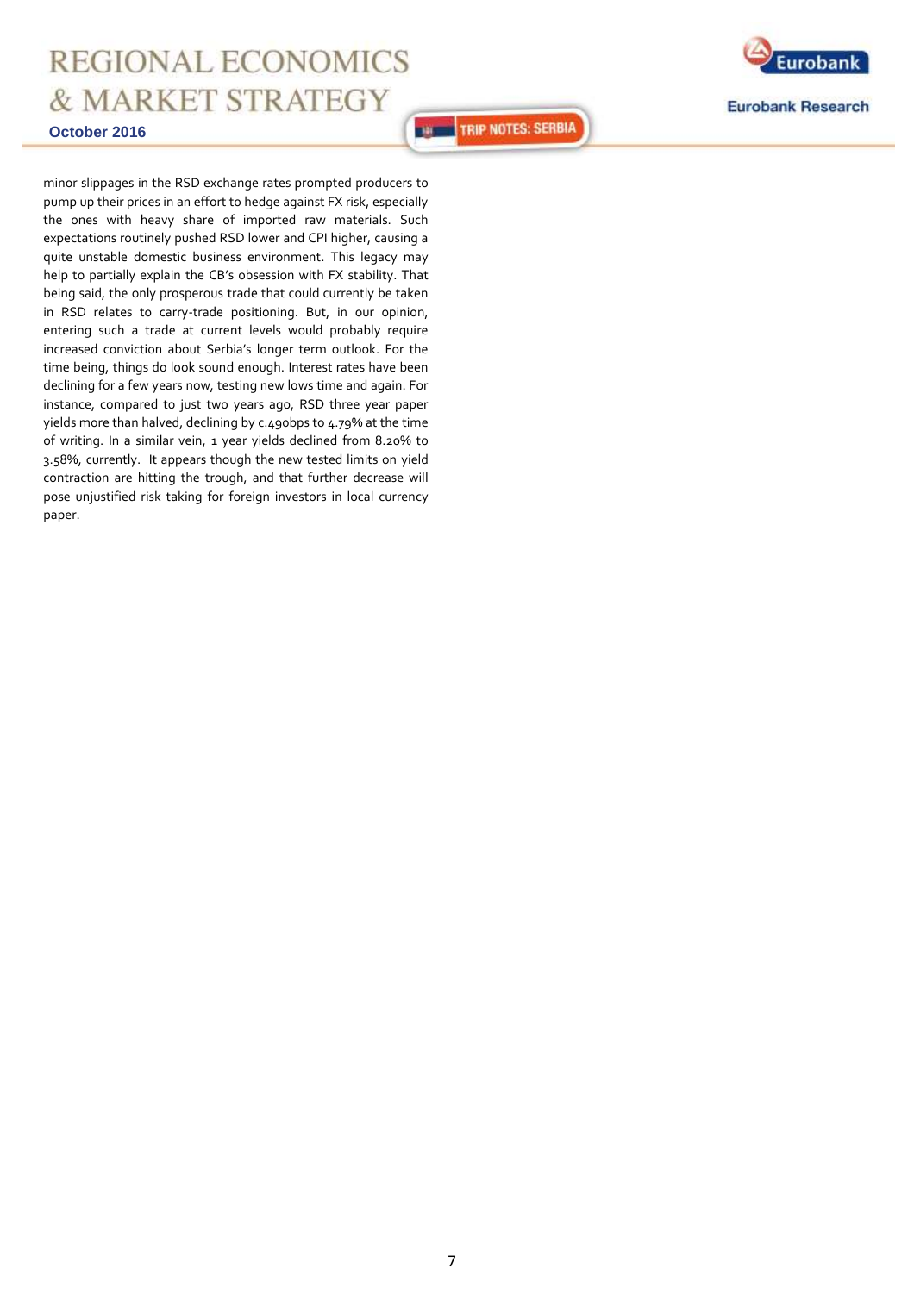

minor slippages in the RSD exchange rates prompted producers to pump up their prices in an effort to hedge against FX risk, especially the ones with heavy share of imported raw materials. Such expectations routinely pushed RSD lower and CPI higher, causing a quite unstable domestic business environment. This legacy may help to partially explain the CB's obsession with FX stability. That being said, the only prosperous trade that could currently be taken in RSD relates to carry-trade positioning. But, in our opinion, entering such a trade at current levels would probably require increased conviction about Serbia's longer term outlook. For the time being, things do look sound enough. Interest rates have been declining for a few years now, testing new lows time and again. For instance, compared to just two years ago, RSD three year paper yields more than halved, declining by c.490bps to 4.79% at the time of writing. In a similar vein, 1 year yields declined from 8.20% to 3.58%, currently. It appears though the new tested limits on yield contraction are hitting the trough, and that further decrease will pose unjustified risk taking for foreign investors in local currency paper.



**Eurobank Research** 

**THE TRIP NOTES: SERBIA**